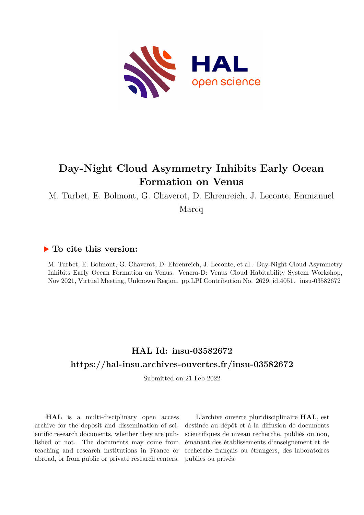

## **Day-Night Cloud Asymmetry Inhibits Early Ocean Formation on Venus**

M. Turbet, E. Bolmont, G. Chaverot, D. Ehrenreich, J. Leconte, Emmanuel

Marcq

## **To cite this version:**

M. Turbet, E. Bolmont, G. Chaverot, D. Ehrenreich, J. Leconte, et al.. Day-Night Cloud Asymmetry Inhibits Early Ocean Formation on Venus. Venera-D: Venus Cloud Habitability System Workshop, Nov 2021, Virtual Meeting, Unknown Region. pp.LPI Contribution No. 2629, id.4051. insu-03582672

## **HAL Id: insu-03582672 <https://hal-insu.archives-ouvertes.fr/insu-03582672>**

Submitted on 21 Feb 2022

**HAL** is a multi-disciplinary open access archive for the deposit and dissemination of scientific research documents, whether they are published or not. The documents may come from teaching and research institutions in France or abroad, or from public or private research centers.

L'archive ouverte pluridisciplinaire **HAL**, est destinée au dépôt et à la diffusion de documents scientifiques de niveau recherche, publiés ou non, émanant des établissements d'enseignement et de recherche français ou étrangers, des laboratoires publics ou privés.